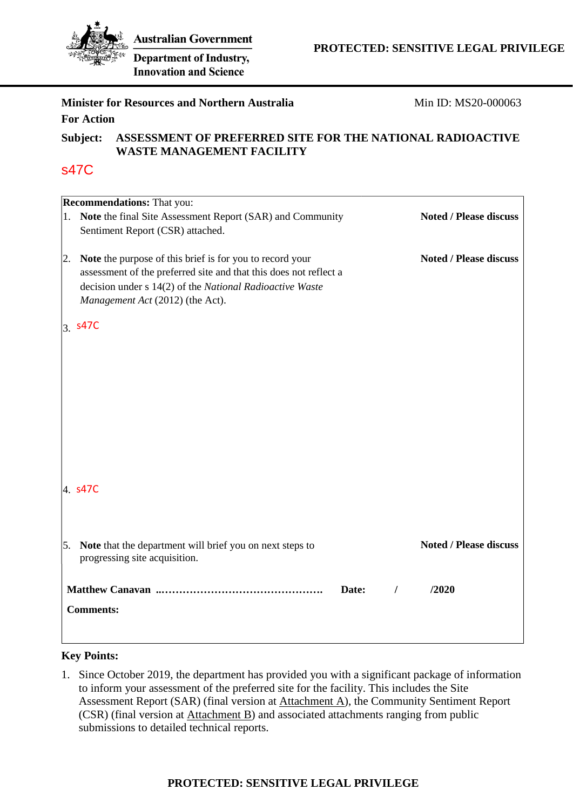

**Innovation and Science** 

# **Minister for Resources and Northern Australia For Action**  Min ID: MS20-000063 **Subject: ASSESSMENT OF PREFERRED SITE FOR THE NATIONAL RADIOACTIVE WASTE MANAGEMENT FACILITY Recommendations:** That you: 1. **Note** the final Site Assessment Report (SAR) and Community Sentiment Report (CSR) attached. 2. **Note** the purpose of this brief is for you to record your assessment of the preferred site and that this does not reflect a decision under s 14(2) of the *National Radioactive Waste Management Act* (2012) (the Act). 3. s47C 4. s47C5. **Note** that the department will brief you on next steps to progressing site acquisition. **Noted / Please discuss Noted / Please discuss Noted / Please discuss Matthew Canavan ..………………………………………. Date: / /2020 Comments:**  s47C

# **Key Points:**

1. Since October 2019, the department has provided you with a significant package of information to inform your assessment of the preferred site for the facility. This includes the Site Assessment Report (SAR) (final version at Attachment A), the Community Sentiment Report (CSR) (final version at Attachment B) and associated attachments ranging from public submissions to detailed technical reports.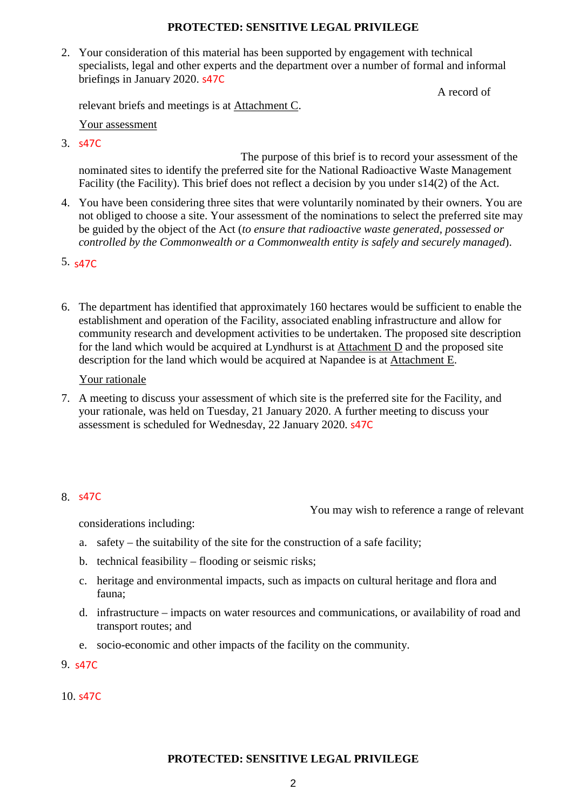2. Your consideration of this material has been supported by engagement with technical specialists, legal and other experts and the department over a number of formal and informal briefings in January 2020. s47C

A record of

relevant briefs and meetings is at Attachment C.

Your assessment

3. s s47C

 The purpose of this brief is to record your assessment of the nominated sites to identify the preferred site for the National Radioactive Waste Management Facility (the Facility). This brief does not reflect a decision by you under s14(2) of the Act.

- 4. You have been considering three sites that were voluntarily nominated by their owners. You are not obliged to choose a site. Your assessment of the nominations to select the preferred site may be guided by the object of the Act (*to ensure that radioactive waste generated, possessed or controlled by the Commonwealth or a Commonwealth entity is safely and securely managed*).
- 5. s47C
- 6. The department has identified that approximately 160 hectares would be sufficient to enable the establishment and operation of the Facility, associated enabling infrastructure and allow for community research and development activities to be undertaken. The proposed site description for the land which would be acquired at Lyndhurst is at  $Attachment D$  and the proposed site</u> description for the land which would be acquired at Napandee is at Attachment E.

### Your rationale

7. A meeting to discuss your assessment of which site is the preferred site for the Facility, and your rationale, was held on Tuesday, 21 January 2020. A further meeting to discuss your assessment is scheduled for Wednesday, 22 January 2020. s47C

# 8. s47C

You may wish to reference a range of relevant

considerations including:

- a. safety the suitability of the site for the construction of a safe facility;
- b. technical feasibility flooding or seismic risks;
- c. heritage and environmental impacts, such as impacts on cultural heritage and flora and fauna;
- d. infrastructure impacts on water resources and communications, or availability of road and transport routes; and
- e. socio-economic and other impacts of the facility on the community.

9. s47C

10. s47C

# **PROTECTED: SENSITIVE LEGAL PRIVILEGE**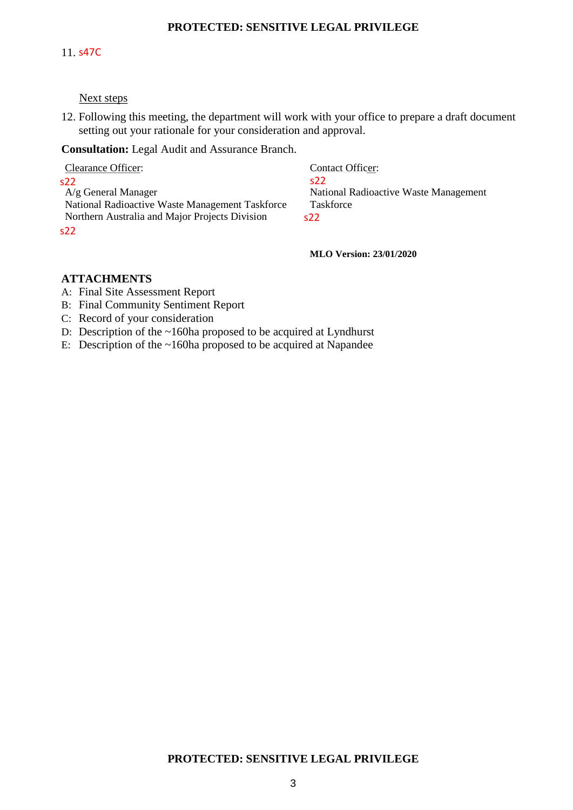#### 11. s47C

#### Next steps

12. Following this meeting, the department will work with your office to prepare a draft document setting out your rationale for your consideration and approval.

**Consultation:** Legal Audit and Assurance Branch.

| Clearance Officer:                              | <b>Contact Officer:</b>               |
|-------------------------------------------------|---------------------------------------|
| s22                                             | 322 <sup>-</sup>                      |
| $A/g$ General Manager                           | National Radioactive Waste Management |
| National Radioactive Waste Management Taskforce | Taskforce                             |
| Northern Australia and Major Projects Division  | S <sub>22</sub>                       |
| s22                                             |                                       |

**MLO Version: 23/01/2020** 

#### **ATTACHMENTS**

- A: Final Site Assessment Report
- B: Final Community Sentiment Report
- C: Record of your consideration
- D: Description of the ~160ha proposed to be acquired at Lyndhurst
- E: Description of the  $\sim 160$ ha proposed to be acquired at Napandee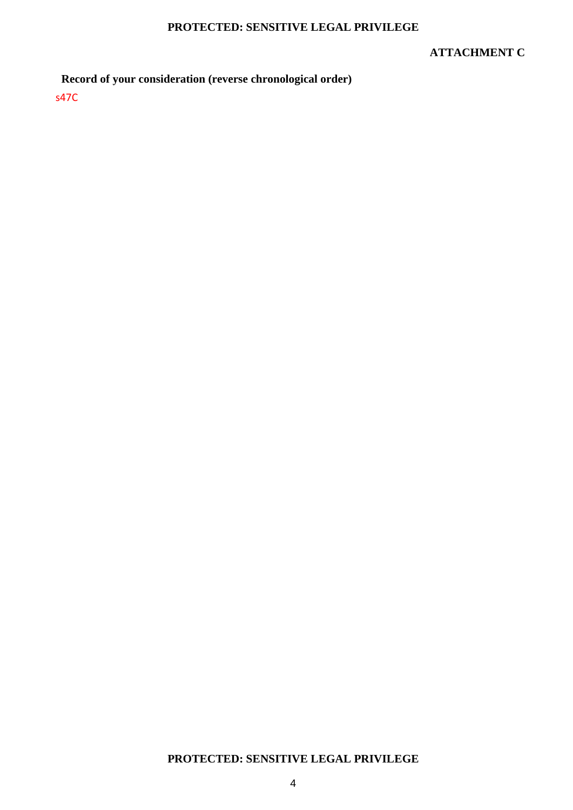### **ATTACHMENT C**

# **Record of your consideration (reverse chronological order)**

s47C

# **PROTECTED: SENSITIVE LEGAL PRIVILEGE**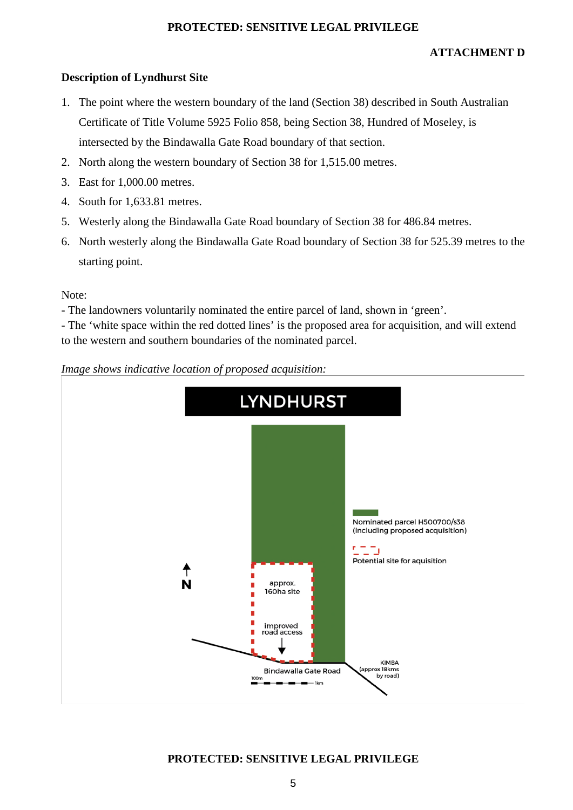# **ATTACHMENT D**

# **Description of Lyndhurst Site**

- 1. The point where the western boundary of the land (Section 38) described in South Australian Certificate of Title Volume 5925 Folio 858, being Section 38, Hundred of Moseley, is intersected by the Bindawalla Gate Road boundary of that section.
- 2. North along the western boundary of Section 38 for 1,515.00 metres.
- 3. East for 1,000.00 metres.
- 4. South for 1,633.81 metres.
- 5. Westerly along the Bindawalla Gate Road boundary of Section 38 for 486.84 metres.
- 6. North westerly along the Bindawalla Gate Road boundary of Section 38 for 525.39 metres to the starting point.

Note:

- The landowners voluntarily nominated the entire parcel of land, shown in 'green'.

- The 'white space within the red dotted lines' is the proposed area for acquisition, and will extend to the western and southern boundaries of the nominated parcel.



*Image shows indicative location of proposed acquisition:* 

# **PROTECTED: SENSITIVE LEGAL PRIVILEGE**